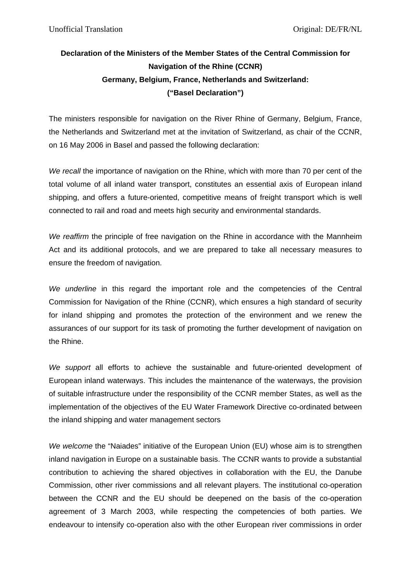## **Declaration of the Ministers of the Member States of the Central Commission for Navigation of the Rhine (CCNR) Germany, Belgium, France, Netherlands and Switzerland: ("Basel Declaration")**

The ministers responsible for navigation on the River Rhine of Germany, Belgium, France, the Netherlands and Switzerland met at the invitation of Switzerland, as chair of the CCNR, on 16 May 2006 in Basel and passed the following declaration:

*We recall* the importance of navigation on the Rhine, which with more than 70 per cent of the total volume of all inland water transport, constitutes an essential axis of European inland shipping, and offers a future-oriented, competitive means of freight transport which is well connected to rail and road and meets high security and environmental standards.

*We reaffirm* the principle of free navigation on the Rhine in accordance with the Mannheim Act and its additional protocols, and we are prepared to take all necessary measures to ensure the freedom of navigation.

*We underline* in this regard the important role and the competencies of the Central Commission for Navigation of the Rhine (CCNR), which ensures a high standard of security for inland shipping and promotes the protection of the environment and we renew the assurances of our support for its task of promoting the further development of navigation on the Rhine.

*We support* all efforts to achieve the sustainable and future-oriented development of European inland waterways. This includes the maintenance of the waterways, the provision of suitable infrastructure under the responsibility of the CCNR member States, as well as the implementation of the objectives of the EU Water Framework Directive co-ordinated between the inland shipping and water management sectors

*We welcome* the "Naiades" initiative of the European Union (EU) whose aim is to strengthen inland navigation in Europe on a sustainable basis. The CCNR wants to provide a substantial contribution to achieving the shared objectives in collaboration with the EU, the Danube Commission, other river commissions and all relevant players. The institutional co-operation between the CCNR and the EU should be deepened on the basis of the co-operation agreement of 3 March 2003, while respecting the competencies of both parties. We endeavour to intensify co-operation also with the other European river commissions in order